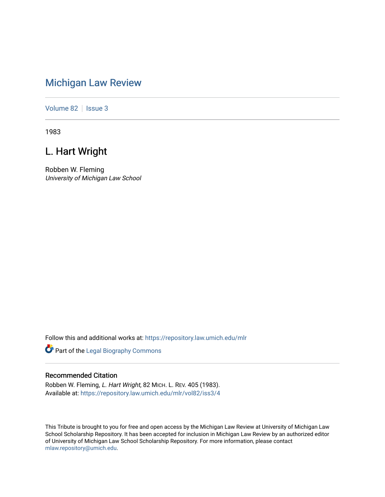# [Michigan Law Review](https://repository.law.umich.edu/mlr)

[Volume 82](https://repository.law.umich.edu/mlr/vol82) | [Issue 3](https://repository.law.umich.edu/mlr/vol82/iss3)

1983

# L. Hart Wright

Robben W. Fleming University of Michigan Law School

Follow this and additional works at: [https://repository.law.umich.edu/mlr](https://repository.law.umich.edu/mlr?utm_source=repository.law.umich.edu%2Fmlr%2Fvol82%2Fiss3%2F4&utm_medium=PDF&utm_campaign=PDFCoverPages) 

Part of the [Legal Biography Commons](http://network.bepress.com/hgg/discipline/834?utm_source=repository.law.umich.edu%2Fmlr%2Fvol82%2Fiss3%2F4&utm_medium=PDF&utm_campaign=PDFCoverPages) 

### Recommended Citation

Robben W. Fleming, L. Hart Wright, 82 MICH. L. REV. 405 (1983). Available at: [https://repository.law.umich.edu/mlr/vol82/iss3/4](https://repository.law.umich.edu/mlr/vol82/iss3/4?utm_source=repository.law.umich.edu%2Fmlr%2Fvol82%2Fiss3%2F4&utm_medium=PDF&utm_campaign=PDFCoverPages)

This Tribute is brought to you for free and open access by the Michigan Law Review at University of Michigan Law School Scholarship Repository. It has been accepted for inclusion in Michigan Law Review by an authorized editor of University of Michigan Law School Scholarship Repository. For more information, please contact [mlaw.repository@umich.edu.](mailto:mlaw.repository@umich.edu)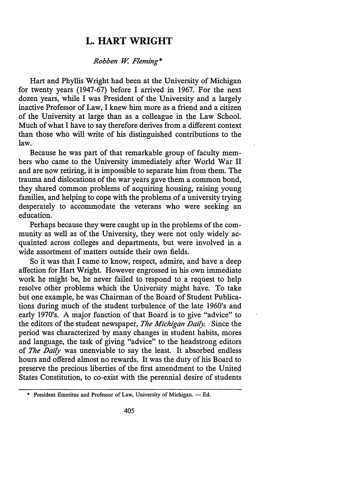### **L. HART WRIGHT**

#### *Robben* W. *Fleming\**

Hart and Phyllis Wright had been at the University of Michigan for twenty years (1947-67) before I arrived in 1967. For the next dozen years, while I was President of the University and a largely inactive Professor of Law, I knew him more as a friend and a citizen of the University at large than as a colleague in the Law School. Much of what I have to say therefore derives from a different context than those who will write of his distinguished contributions to the law.

Because he was part of that remarkable group of faculty members who came to the University immediately after World War II and are now retiring, it is impossible to separate him from them. The trauma and dislocations of the war years gave them a common bond, they shared common problems of acquiring housing, raising young families, and helping to cope with the problems of a university trying desperately to accommodate the veterans who were seeking an education.

Perhaps because they were caught up in the problems of the community as well as of the University, they were not only widely acquainted across colleges and departments, but were involved in a wide assortment of matters outside their own fields.

So it was that I came to know, respect, admire, and have a deep affection for Hart Wright. However engrossed in his own immediate work he might be, he never failed to respond to a request to help resolve other problems which the University might have. To take but one example, he was Chairman of the Board of Student Publications during much of the student turbulence of the late 1960's and early 1970's. A major function of that Board is to give "advice" to the editors of the student newspaper, *The Michigan Daily*. Since the period was characterized by many changes in student habits, mores and language, the task of giving "advice" to the headstrong editors of *The Daily* was unenviable to say the least. It absorbed endless hours and offered almost no rewards. It was the duty of his Board to preserve the precious liberties of the first amendment to the United States Constitution, to co-exist with the perennial desire of students

<sup>\*</sup> President Emeritus and Professor of Law, University of Michigan. - Ed.